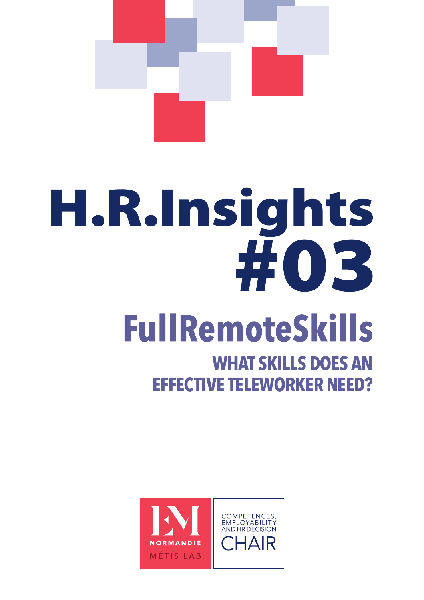

# H.R.Insights #03

## **FullRemoteSkills**

**What skills does an effective teleworker need?** 

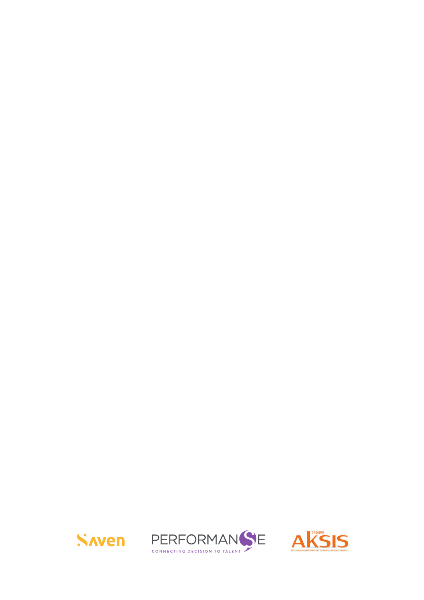



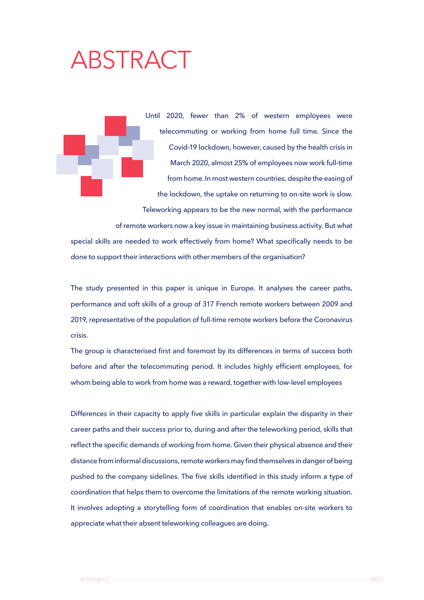## **ABSTRACT**

Until 2020, fewer than 2% of western employees were telecommuting or working from home full time. Since the Covid-19 lockdown, however, caused by the health crisis in March 2020, almost 25% of employees now work full-time from home. In most western countries, despite the easing of the lockdown, the uptake on returning to on-site work is slow. Teleworking appears to be the new normal, with the performance

of remote workers now a key issue in maintaining business activity. But what special skills are needed to work effectively from home? What specifically needs to be done to support their interactions with other members of the organisation?

The study presented in this paper is unique in Europe. It analyses the career paths, performance and soft skills of a group of 317 French remote workers between 2009 and 2019, representative of the population of full-time remote workers before the Coronavirus crisis.

The group is characterised first and foremost by its differences in terms of success both before and after the telecommuting period. It includes highly efficient employees, for whom being able to work from home was a reward, together with low-level employees

Differences in their capacity to apply five skills in particular explain the disparity in their career paths and their success prior to, during and after the teleworking period, skills that reflect the specific demands of working from home. Given their physical absence and their distance from informal discussions, remote workers may find themselves in danger of being pushed to the company sidelines. The five skills identified in this study inform a type of coordination that helps them to overcome the limitations of the remote working situation. It involves adopting a storytelling form of coordination that enables on-site workers to appreciate what their absent teleworking colleagues are doing.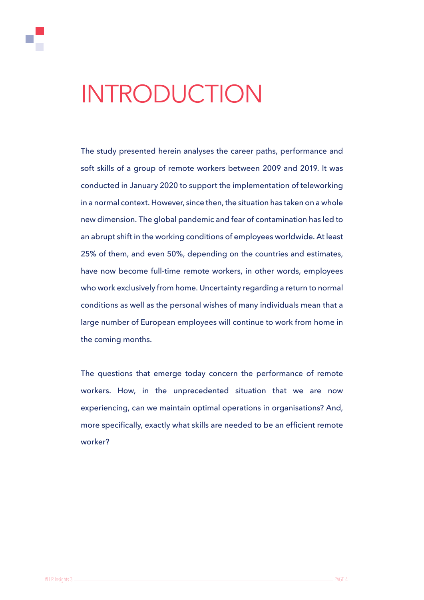## INTRODUCTION

The study presented herein analyses the career paths, performance and soft skills of a group of remote workers between 2009 and 2019. It was conducted in January 2020 to support the implementation of teleworking in a normal context. However, since then, the situation has taken on a whole new dimension. The global pandemic and fear of contamination has led to an abrupt shift in the working conditions of employees worldwide. At least 25% of them, and even 50%, depending on the countries and estimates, have now become full-time remote workers, in other words, employees who work exclusively from home. Uncertainty regarding a return to normal conditions as well as the personal wishes of many individuals mean that a large number of European employees will continue to work from home in the coming months.

The questions that emerge today concern the performance of remote workers. How, in the unprecedented situation that we are now experiencing, can we maintain optimal operations in organisations? And, more specifically, exactly what skills are needed to be an efficient remote worker?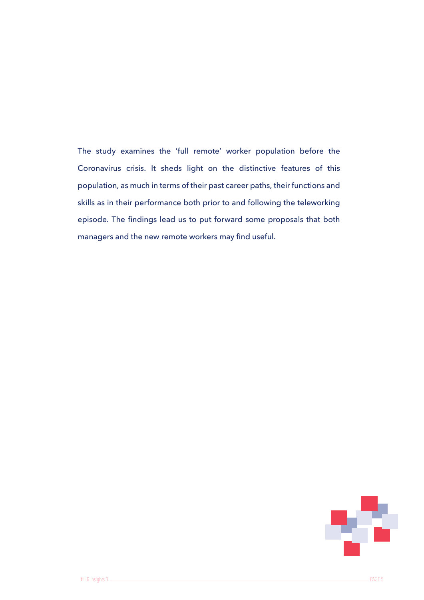The study examines the 'full remote' worker population before the Coronavirus crisis. It sheds light on the distinctive features of this population, as much in terms of their past career paths, their functions and skills as in their performance both prior to and following the teleworking episode. The findings lead us to put forward some proposals that both managers and the new remote workers may find useful.

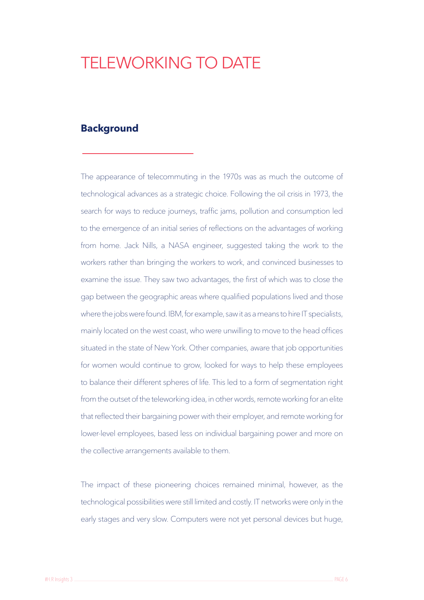## TELEWORKING TO DATF

#### **Background**

The appearance of telecommuting in the 1970s was as much the outcome of technological advances as a strategic choice. Following the oil crisis in 1973, the search for ways to reduce journeys, traffic jams, pollution and consumption led to the emergence of an initial series of reflections on the advantages of working from home. Jack Nills, a NASA engineer, suggested taking the work to the workers rather than bringing the workers to work, and convinced businesses to examine the issue. They saw two advantages, the first of which was to close the gap between the geographic areas where qualified populations lived and those where the jobs were found. IBM, for example, saw it as a means to hire IT specialists, mainly located on the west coast, who were unwilling to move to the head offices situated in the state of New York. Other companies, aware that job opportunities for women would continue to grow, looked for ways to help these employees to balance their different spheres of life. This led to a form of segmentation right from the outset of the teleworking idea, in other words, remote working for an elite that reflected their bargaining power with their employer, and remote working for lower-level employees, based less on individual bargaining power and more on the collective arrangements available to them.

The impact of these pioneering choices remained minimal, however, as the technological possibilities were still limited and costly. IT networks were only in the early stages and very slow. Computers were not yet personal devices but huge,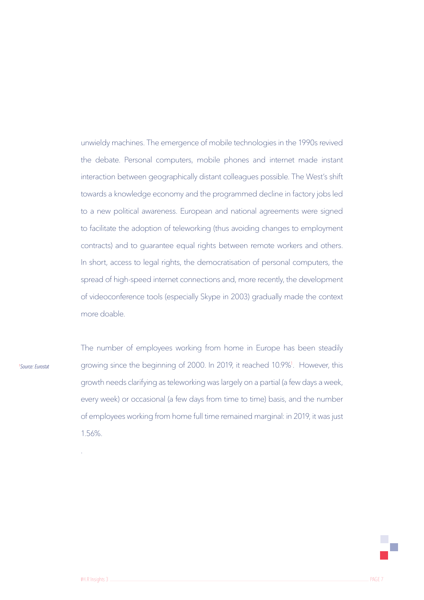unwieldy machines. The emergence of mobile technologies in the 1990s revived the debate. Personal computers, mobile phones and internet made instant interaction between geographically distant colleagues possible. The West's shift towards a knowledge economy and the programmed decline in factory jobs led to a new political awareness. European and national agreements were signed to facilitate the adoption of teleworking (thus avoiding changes to employment contracts) and to guarantee equal rights between remote workers and others. In short, access to legal rights, the democratisation of personal computers, the spread of high-speed internet connections and, more recently, the development of videoconference tools (especially Skype in 2003) gradually made the context more doable.

*1 Source: Eurostat* 

The number of employees working from home in Europe has been steadily growing since the beginning of 2000. In 2019, it reached 10.9%<sup>1</sup>. However, this growth needs clarifying as teleworking was largely on a partial (a few days a week, every week) or occasional (a few days from time to time) basis, and the number of employees working from home full time remained marginal: in 2019, it was just 1.56%.

.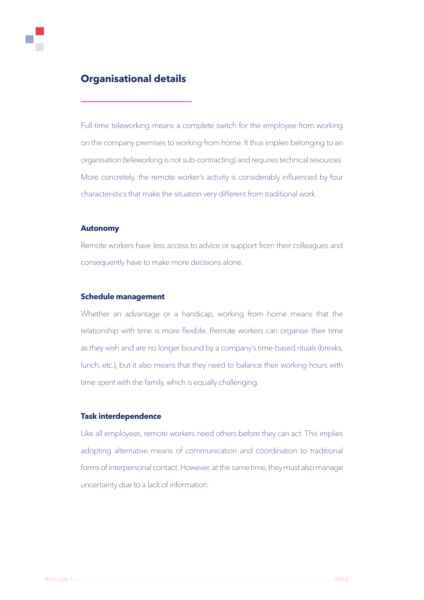#### **Organisational details**

Full-time teleworking means a complete switch for the employee from working on the company premises to working from home. It thus implies belonging to an organisation (teleworking is not sub-contracting) and requires technical resources. More concretely, the remote worker's activity is considerably influenced by four characteristics that make the situation very different from traditional work.

#### **Autonomy**

Remote workers have less access to advice or support from their colleagues and consequently have to make more decisions alone.

#### **Schedule management**

Whether an advantage or a handicap, working from home means that the relationship with time is more flexible. Remote workers can organise their time as they wish and are no longer bound by a company's time-based rituals (breaks, lunch, etc.), but it also means that they need to balance their working hours with time spent with the family, which is equally challenging.

#### **Task interdependence**

Like all employees, remote workers need others before they can act. This implies adopting alternative means of communication and coordination to traditional forms of interpersonal contact. However, at the same time, they must also manage uncertainty due to a lack of information.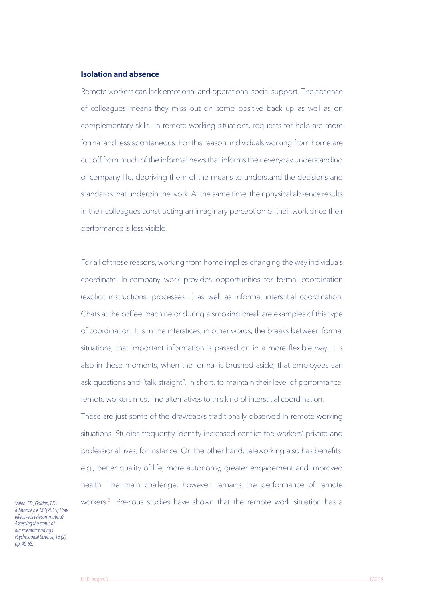#### **Isolation and absence**

Remote workers can lack emotional and operational social support. The absence of colleagues means they miss out on some positive back up as well as on complementary skills. In remote working situations, requests for help are more formal and less spontaneous. For this reason, individuals working from home are cut off from much of the informal news that informs their everyday understanding of company life, depriving them of the means to understand the decisions and standards that underpin the work. At the same time, their physical absence results in their colleagues constructing an imaginary perception of their work since their performance is less visible.

For all of these reasons, working from home implies changing the way individuals coordinate. In-company work provides opportunities for formal coordination (explicit instructions, processes…) as well as informal interstitial coordination. Chats at the coffee machine or during a smoking break are examples of this type of coordination. It is in the interstices, in other words, the breaks between formal situations, that important information is passed on in a more flexible way. It is also in these moments, when the formal is brushed aside, that employees can ask questions and "talk straight". In short, to maintain their level of performance, remote workers must find alternatives to this kind of interstitial coordination.

These are just some of the drawbacks traditionally observed in remote working situations. Studies frequently identify increased conflict the workers' private and professional lives, for instance. On the other hand, teleworking also has benefits: e.g., better quality of life, more autonomy, greater engagement and improved health. The main challenge, however, remains the performance of remote workers.<sup>2</sup> Previous studies have shown that the remote work situation has a

*Allen, T.D., Golden, T.D., & Shockley, K.M? (2015).How effective is telecommuting? Assessing the status of*  our scientific findings. *Psychological Science, 16 (2), pp. 40-68.*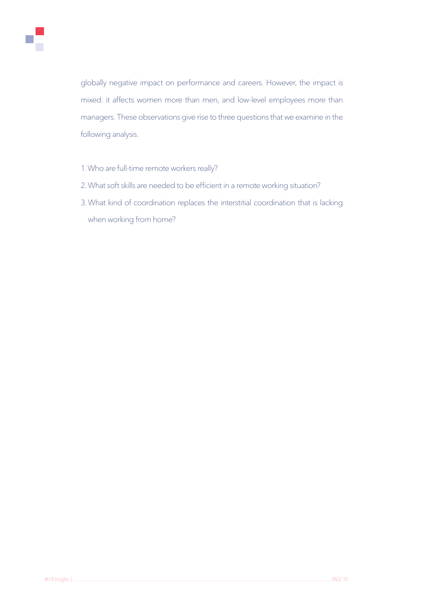

globally negative impact on performance and careers. However, the impact is mixed: it affects women more than men, and low-level employees more than managers. These observations give rise to three questions that we examine in the following analysis.

- 1.Who are full-time remote workers really?
- 2.What soft skills are needed to be efficient in a remote working situation?
- 3.What kind of coordination replaces the interstitial coordination that is lacking when working from home?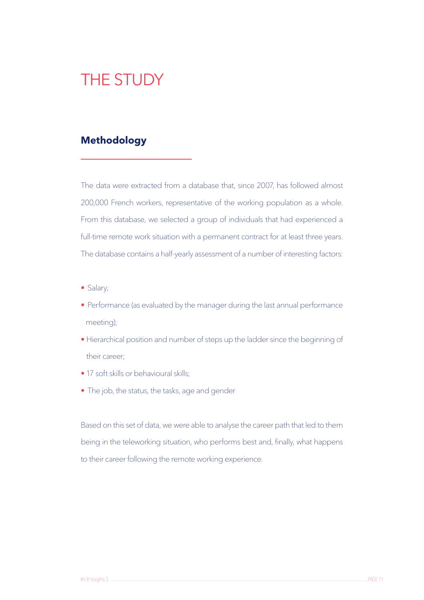## **THE STUDY**

#### **Methodology**

The data were extracted from a database that, since 2007, has followed almost 200,000 French workers, representative of the working population as a whole. From this database, we selected a group of individuals that had experienced a full-time remote work situation with a permanent contract for at least three years. The database contains a half-yearly assessment of a number of interesting factors:

- Salary;
- Performance (as evaluated by the manager during the last annual performance meeting);
- Hierarchical position and number of steps up the ladder since the beginning of their career;
- 17 soft skills or behavioural skills;
- The job, the status, the tasks, age and gender

Based on this set of data, we were able to analyse the career path that led to them being in the teleworking situation, who performs best and, finally, what happens to their career following the remote working experience.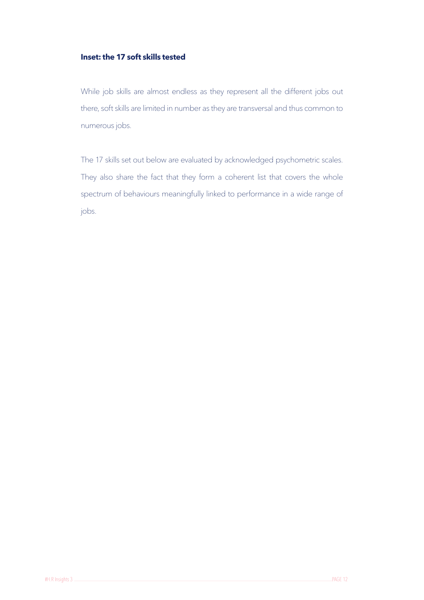#### **Inset: the 17 soft skills tested**

While job skills are almost endless as they represent all the different jobs out there, soft skills are limited in number as they are transversal and thus common to numerous jobs.

The 17 skills set out below are evaluated by acknowledged psychometric scales. They also share the fact that they form a coherent list that covers the whole spectrum of behaviours meaningfully linked to performance in a wide range of jobs.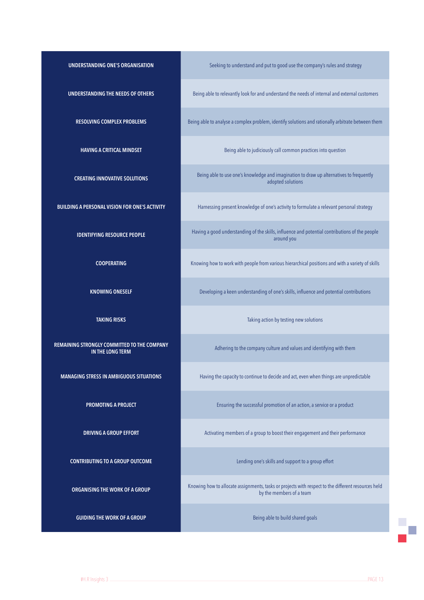REMAINING STRONGLY COMMITTED TO THE COMPANY<br>IN THE LONG TERM

**GUIDING THE WORK OF A GROUP Being able to build shared goals** 

UNDERSTANDING ONE'S ORGANISATION Seeking to understand and put to good use the company's rules and strategy

UNDERSTANDING THE NEEDS OF OTHERS BEING BEING A BEING A BEING A BEING THE NEW ARREST AND RESIGNATION OF THE NEEDS OF OTHERS

RESOLVING COMPLEX PROBLEMS Being able to analyse a complex problem, identify solutions and rationally arbitrate between them

HAVING A CRITICAL MINDSET **Being able to judiciously call common practices into question** 

CREATING INNOVATIVE SOLUTIONS Being able to use one's knowledge and imagination to draw up alternatives to frequently adopted solutions

BUILDING A PERSONAL VISION FOR ONE'S ACTIVITY Harnessing present knowledge of one's activity to formulate a relevant personal strategy

IDENTIFYING RESOURCE PEOPLE Having a good understanding of the skills, influence and potential contributions of the people around you

Cooperating Knowing how to work with people from various hierarchical positions and with a variety of skills

KNOWING ONESELF Developing a keen understanding of one's skills, influence and potential contributions

**TAKING RISKS** TAKING RISKS TAKING RISKS TAKING RISKS

Adhering to the company culture and values and identifying with them

MANAGING STRESS IN AMBIGUOUS SITUATIONS Having the capacity to continue to decide and act, even when things are unpredictable

**PROMOTING A PROJECT** Ensuring the successful promotion of an action, a service or a product

**DRIVING A GROUP EFFORT** Activating members of a group to boost their engagement and their performance

**CONTRIBUTING TO A GROUP OUTCOME** Lending one's skills and support to a group effort

ORGANISING THE WORK OF A GROUP Knowing how to allocate assignments, tasks or projects with respect to the different resources held by the members of a team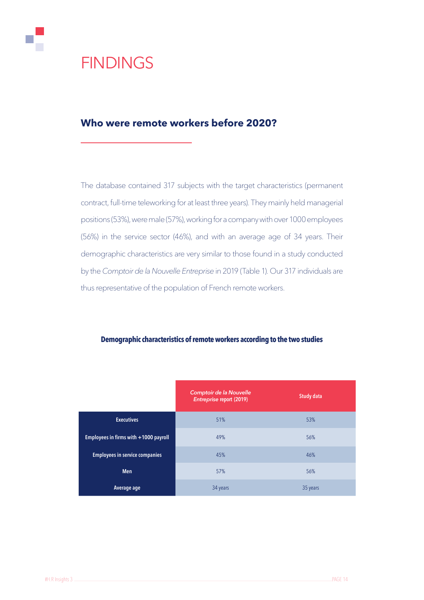

#### **Who were remote workers before 2020?**

The database contained 317 subjects with the target characteristics (permanent contract, full-time teleworking for at least three years). They mainly held managerial positions (53%), were male (57%), working for a company with over 1000 employees (56%) in the service sector (46%), and with an average age of 34 years. Their demographic characteristics are very similar to those found in a study conducted by the *Comptoir de la Nouvelle Entreprise* in 2019 (Table 1). Our 317 individuals are thus representative of the population of French remote workers.

|                                       | Comptoir de la Nouvelle<br>Entreprise report (2019) | <b>Study data</b> |
|---------------------------------------|-----------------------------------------------------|-------------------|
| <b>Executives</b>                     | 51%                                                 | 53%               |
| Employees in firms with +1000 payroll | 49%                                                 | 56%               |
| <b>Employees in service companies</b> | 45%                                                 | 46%               |
| <b>Men</b>                            | 57%                                                 | 56%               |
| Average age                           | 34 years                                            | 35 years          |

#### **Demographic characteristics of remote workers according to the two studies**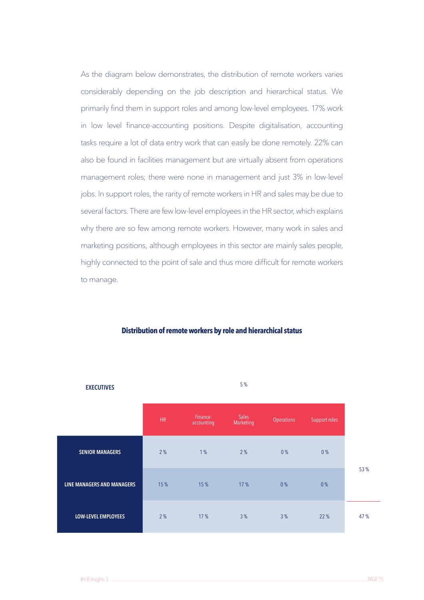As the diagram below demonstrates, the distribution of remote workers varies considerably depending on the job description and hierarchical status. We primarily find them in support roles and among low-level employees. 17% work in low level finance-accounting positions. Despite digitalisation, accounting tasks require a lot of data entry work that can easily be done remotely. 22% can also be found in facilities management but are virtually absent from operations management roles; there were none in management and just 3% in low-level jobs. In support roles, the rarity of remote workers in HR and sales may be due to several factors. There are few low-level employees in the HR sector, which explains why there are so few among remote workers. However, many work in sales and marketing positions, although employees in this sector are mainly sales people, highly connected to the point of sale and thus more difficult for remote workers to manage.

## EXECUTIVES 5% HR Finance-accounting Sales Marketing Operations Support roles Senior managers 2 % 1 % 2 % 0 % 0 % 53 % Line managers and managers 15 % 15 % 17 % 0 % 0 % LOW-LEVEL EMPLOYEES 2 % 17 % 3 % 3 % 22 % 47 %

#### **Distribution of remote workers by role and hierarchical status**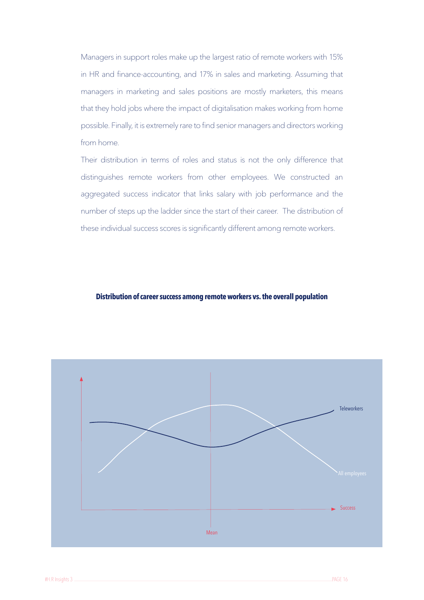Managers in support roles make up the largest ratio of remote workers with 15% in HR and finance-accounting, and 17% in sales and marketing. Assuming that managers in marketing and sales positions are mostly marketers, this means that they hold jobs where the impact of digitalisation makes working from home possible. Finally, it is extremely rare to find senior managers and directors working from home.

Their distribution in terms of roles and status is not the only difference that distinguishes remote workers from other employees. We constructed an aggregated success indicator that links salary with job performance and the number of steps up the ladder since the start of their career. The distribution of these individual success scores is significantly different among remote workers.

#### **Distribution of career success among remote workers vs. the overall population**

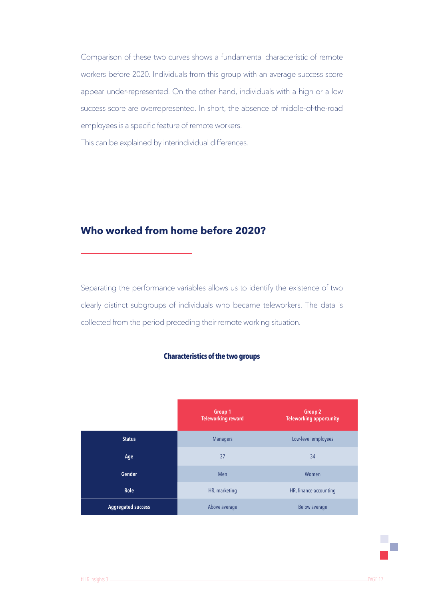Comparison of these two curves shows a fundamental characteristic of remote workers before 2020. Individuals from this group with an average success score appear under-represented. On the other hand, individuals with a high or a low success score are overrepresented. In short, the absence of middle-of-the-road employees is a specific feature of remote workers.

This can be explained by interindividual differences.

#### **Who worked from home before 2020?**

Separating the performance variables allows us to identify the existence of two clearly distinct subgroups of individuals who became teleworkers. The data is collected from the period preceding their remote working situation.

#### **Characteristics of the two groups**

|                           | Group 1<br><b>Teleworking reward</b> | Group 2<br><b>Teleworking opportunity</b> |
|---------------------------|--------------------------------------|-------------------------------------------|
| <b>Status</b>             | <b>Managers</b>                      | Low-level employees                       |
| Age                       | 37                                   | 34                                        |
| Gender                    | Men                                  | Women                                     |
| <b>Role</b>               | HR, marketing                        | HR, finance-accounting                    |
| <b>Aggregated success</b> | Above average                        | <b>Below average</b>                      |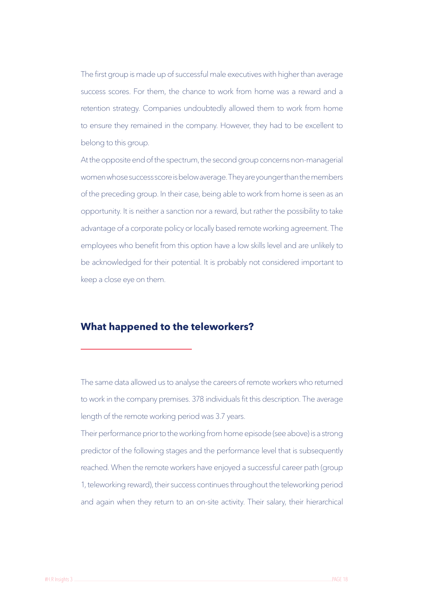The first group is made up of successful male executives with higher than average success scores. For them, the chance to work from home was a reward and a retention strategy. Companies undoubtedly allowed them to work from home to ensure they remained in the company. However, they had to be excellent to belong to this group.

At the opposite end of the spectrum, the second group concerns non-managerial women whose success score is below average. They are younger than the members of the preceding group. In their case, being able to work from home is seen as an opportunity. It is neither a sanction nor a reward, but rather the possibility to take advantage of a corporate policy or locally based remote working agreement. The employees who benefit from this option have a low skills level and are unlikely to be acknowledged for their potential. It is probably not considered important to keep a close eye on them.

#### **What happened to the teleworkers?**

The same data allowed us to analyse the careers of remote workers who returned to work in the company premises. 378 individuals fit this description. The average length of the remote working period was 3.7 years.

Their performance prior to the working from home episode (see above) is a strong predictor of the following stages and the performance level that is subsequently reached. When the remote workers have enjoyed a successful career path (group 1, teleworking reward), their success continues throughout the teleworking period and again when they return to an on-site activity. Their salary, their hierarchical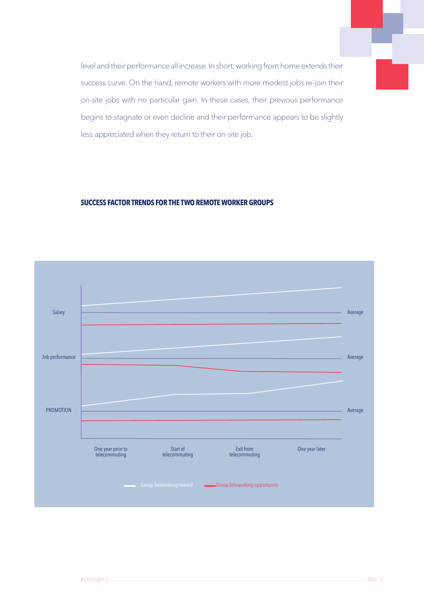level and their performance all increase. In short, working from home extends their success curve. On the hand, remote workers with more modest jobs re-join their on-site jobs with no particular gain. In these cases, their previous performance begins to stagnate or even decline and their performance appears to be slightly less appreciated when they return to their on-site job;

#### **Success factor trends for the two remote worker groups**

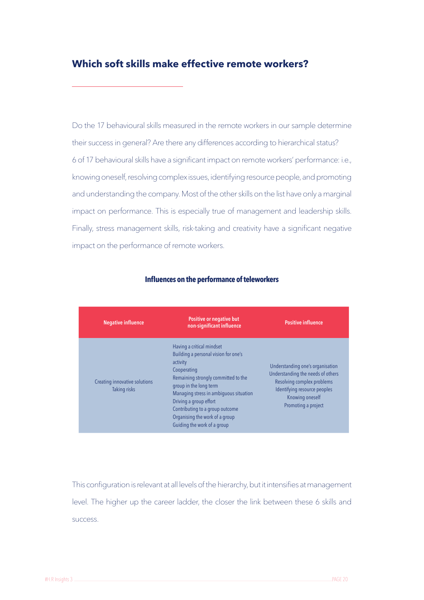#### **Which soft skills make effective remote workers?**

Do the 17 behavioural skills measured in the remote workers in our sample determine their success in general? Are there any differences according to hierarchical status? 6 of 17 behavioural skills have a significant impact on remote workers' performance: i.e., knowing oneself, resolving complex issues, identifying resource people, and promoting and understanding the company. Most of the other skills on the list have only a marginal impact on performance. This is especially true of management and leadership skills. Finally, stress management skills, risk-taking and creativity have a significant negative impact on the performance of remote workers.

| <b>Negative influence</b>                            | Positive or negative but<br>non-significant influence                                                                                                                                                                                                                                                                                 | <b>Positive influence</b>                                                                                                                                                            |
|------------------------------------------------------|---------------------------------------------------------------------------------------------------------------------------------------------------------------------------------------------------------------------------------------------------------------------------------------------------------------------------------------|--------------------------------------------------------------------------------------------------------------------------------------------------------------------------------------|
| <b>Creating innovative solutions</b><br>Taking risks | Having a critical mindset<br>Building a personal vision for one's<br>activity<br>Cooperating<br>Remaining strongly committed to the<br>group in the long term<br>Managing stress in ambiguous situation<br>Driving a group effort<br>Contributing to a group outcome<br>Organising the work of a group<br>Guiding the work of a group | Understanding one's organisation<br>Understanding the needs of others<br><b>Resolving complex problems</b><br>Identifying resource peoples<br>Knowing oneself<br>Promoting a project |

#### **Influences on the performance of teleworkers**

This configuration is relevant at all levels of the hierarchy, but it intensifies at management level. The higher up the career ladder, the closer the link between these 6 skills and success.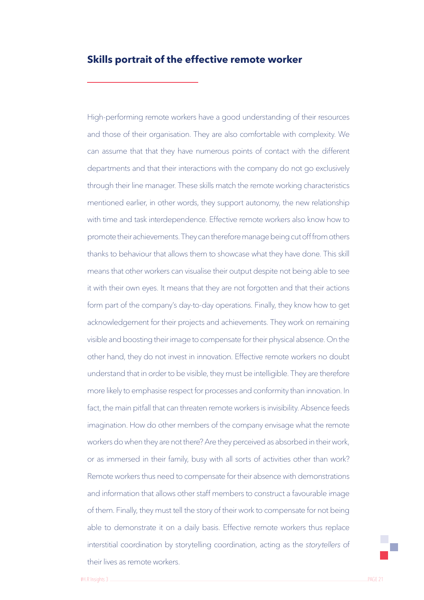#### **Skills portrait of the effective remote worker**

High-performing remote workers have a good understanding of their resources and those of their organisation. They are also comfortable with complexity. We can assume that that they have numerous points of contact with the different departments and that their interactions with the company do not go exclusively through their line manager. These skills match the remote working characteristics mentioned earlier, in other words, they support autonomy, the new relationship with time and task interdependence. Effective remote workers also know how to promote their achievements. They can therefore manage being cut off from others thanks to behaviour that allows them to showcase what they have done. This skill means that other workers can visualise their output despite not being able to see it with their own eyes. It means that they are not forgotten and that their actions form part of the company's day-to-day operations. Finally, they know how to get acknowledgement for their projects and achievements. They work on remaining visible and boosting their image to compensate for their physical absence. On the other hand, they do not invest in innovation. Effective remote workers no doubt understand that in order to be visible, they must be intelligible. They are therefore more likely to emphasise respect for processes and conformity than innovation. In fact, the main pitfall that can threaten remote workers is invisibility. Absence feeds imagination. How do other members of the company envisage what the remote workers do when they are not there? Are they perceived as absorbed in their work, or as immersed in their family, busy with all sorts of activities other than work? Remote workers thus need to compensate for their absence with demonstrations and information that allows other staff members to construct a favourable image of them. Finally, they must tell the story of their work to compensate for not being able to demonstrate it on a daily basis. Effective remote workers thus replace interstitial coordination by storytelling coordination, acting as the *storytellers* of their lives as remote workers.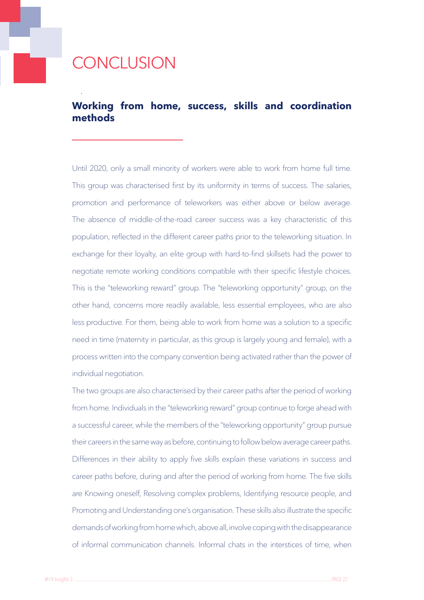## CONCLUSION

.

#### **Working from home, success, skills and coordination methods**

Until 2020, only a small minority of workers were able to work from home full time. This group was characterised first by its uniformity in terms of success. The salaries, promotion and performance of teleworkers was either above or below average. The absence of middle-of-the-road career success was a key characteristic of this population, reflected in the different career paths prior to the teleworking situation. In exchange for their loyalty, an elite group with hard-to-find skillsets had the power to negotiate remote working conditions compatible with their specific lifestyle choices. This is the "teleworking reward" group. The "teleworking opportunity" group, on the other hand, concerns more readily available, less essential employees, who are also less productive. For them, being able to work from home was a solution to a specific need in time (maternity in particular, as this group is largely young and female), with a process written into the company convention being activated rather than the power of individual negotiation.

The two groups are also characterised by their career paths after the period of working from home. Individuals in the "teleworking reward" group continue to forge ahead with a successful career, while the members of the "teleworking opportunity" group pursue their careers in the same way as before, continuing to follow below average career paths. Differences in their ability to apply five skills explain these variations in success and career paths before, during and after the period of working from home. The five skills are Knowing oneself, Resolving complex problems, Identifying resource people, and Promoting and Understanding one's organisation. These skills also illustrate the specific demands of working from home which, above all, involve coping with the disappearance of informal communication channels. Informal chats in the interstices of time, when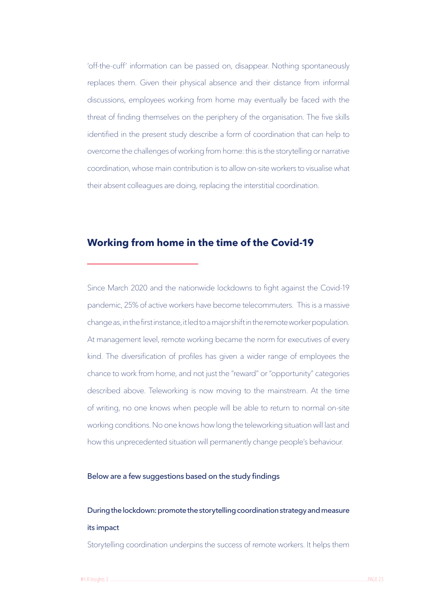'off-the-cuff' information can be passed on, disappear. Nothing spontaneously replaces them. Given their physical absence and their distance from informal discussions, employees working from home may eventually be faced with the threat of finding themselves on the periphery of the organisation. The five skills identified in the present study describe a form of coordination that can help to overcome the challenges of working from home: this is the storytelling or narrative coordination, whose main contribution is to allow on-site workers to visualise what their absent colleagues are doing, replacing the interstitial coordination.

#### **Working from home in the time of the Covid-19**

Since March 2020 and the nationwide lockdowns to fight against the Covid-19 pandemic, 25% of active workers have become telecommuters. This is a massive change as, in the first instance, it led to a major shift in the remote worker population. At management level, remote working became the norm for executives of every kind. The diversification of profiles has given a wider range of employees the chance to work from home, and not just the "reward" or "opportunity" categories described above. Teleworking is now moving to the mainstream. At the time of writing, no one knows when people will be able to return to normal on-site working conditions. No one knows how long the teleworking situation will last and how this unprecedented situation will permanently change people's behaviour.

#### Below are a few suggestions based on the study findings

#### During the lockdown: promote the storytelling coordination strategy and measure its impact

Storytelling coordination underpins the success of remote workers. It helps them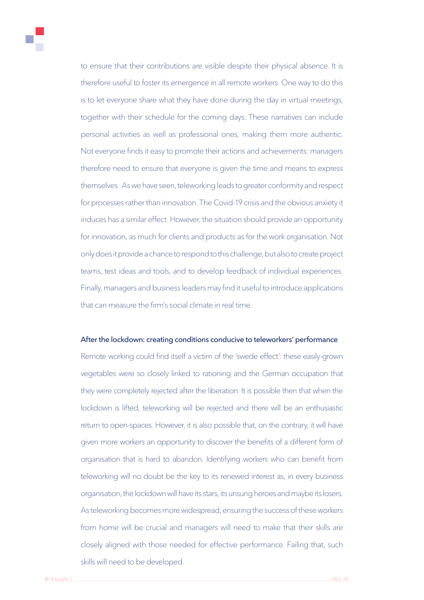to ensure that their contributions are visible despite their physical absence. It is

therefore useful to foster its emergence in all remote workers. One way to do this is to let everyone share what they have done during the day in virtual meetings, together with their schedule for the coming days. These narratives can include personal activities as well as professional ones, making them more authentic. Not everyone finds it easy to promote their actions and achievements: managers therefore need to ensure that everyone is given the time and means to express themselves. As we have seen, teleworking leads to greater conformity and respect for processes rather than innovation. The Covid-19 crisis and the obvious anxiety it induces has a similar effect. However, the situation should provide an opportunity for innovation, as much for clients and products as for the work organisation. Not only does it provide a chance to respond to this challenge, but also to create project teams, test ideas and tools, and to develop feedback of individual experiences. Finally, managers and business leaders may find it useful to introduce applications that can measure the firm's social climate in real time.

#### After the lockdown: creating conditions conducive to teleworkers' performance

Remote working could find itself a victim of the 'swede effect': these easily-grown vegetables were so closely linked to rationing and the German occupation that they were completely rejected after the liberation. It is possible then that when the lockdown is lifted, teleworking will be rejected and there will be an enthusiastic return to open-spaces. However, it is also possible that, on the contrary, it will have given more workers an opportunity to discover the benefits of a different form of organisation that is hard to abandon. Identifying workers who can benefit from teleworking will no doubt be the key to its renewed interest as, in every business organisation, the lockdown will have its stars, its unsung heroes and maybe its losers. As teleworking becomes more widespread, ensuring the success of these workers from home will be crucial and managers will need to make that their skills are closely aligned with those needed for effective performance. Failing that, such skills will need to be developed.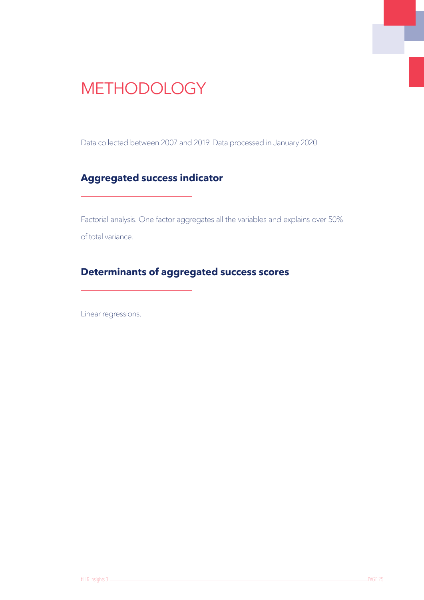## **METHODOLOGY**

Data collected between 2007 and 2019. Data processed in January 2020.

#### **Aggregated success indicator**

Factorial analysis. One factor aggregates all the variables and explains over 50% of total variance.

#### **Determinants of aggregated success scores**

Linear regressions.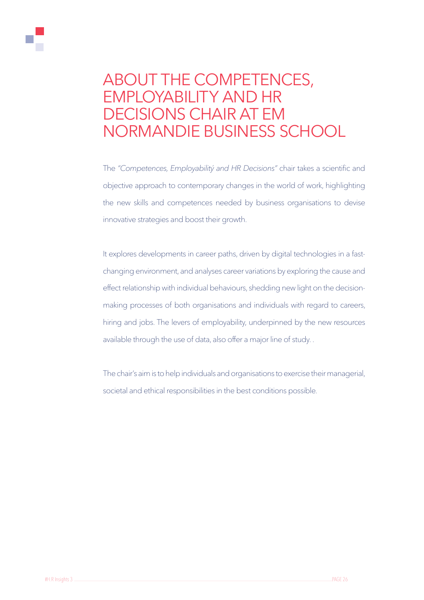

### aBOut tHe COMpETeNCeS, eMpLOyabILiTY aNd hR dECISIONs ChaIR aT EM NORMaNDIe BuSIneSS ScHooL

The *"Competences, Employabilitý and HR Decisions"* chair takes a scientific and objective approach to contemporary changes in the world of work, highlighting the new skills and competences needed by business organisations to devise innovative strategies and boost their growth.

It explores developments in career paths, driven by digital technologies in a fastchanging environment, and analyses career variations by exploring the cause and effect relationship with individual behaviours, shedding new light on the decisionmaking processes of both organisations and individuals with regard to careers, hiring and jobs. The levers of employability, underpinned by the new resources available through the use of data, also offer a major line of study. .

The chair's aim is to help individuals and organisations to exercise their managerial, societal and ethical responsibilities in the best conditions possible.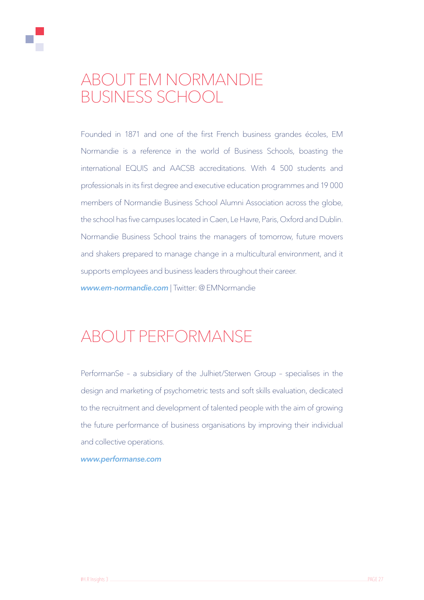

## aBOut EM NORMaNDIe BuSIneSS ScHooL

Founded in 1871 and one of the first French business grandes écoles, EM Normandie is a reference in the world of Business Schools, boasting the international EQUIS and AACSB accreditations. With 4 500 students and professionals in its first degree and executive education programmes and 19 000 members of Normandie Business School Alumni Association across the globe, the school has five campuses located in Caen, Le Havre, Paris, Oxford and Dublin. Normandie Business School trains the managers of tomorrow, future movers and shakers prepared to manage change in a multicultural environment, and it supports employees and business leaders throughout their career. *www.em-normandie.com* | Twitter: @ EMNormandie

## aBOut peRfORMaNSe

PerformanSe – a subsidiary of the Julhiet/Sterwen Group – specialises in the design and marketing of psychometric tests and soft skills evaluation, dedicated to the recruitment and development of talented people with the aim of growing the future performance of business organisations by improving their individual and collective operations.

#### *[www.performanse.com](https://www.performanse.com/)*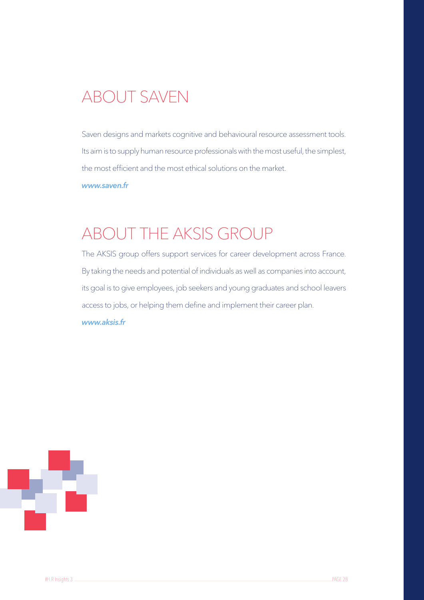## aBOut SaveN

Saven designs and markets cognitive and behavioural resource assessment tools. Its aim is to supply human resource professionals with the most useful, the simplest, the most efficient and the most ethical solutions on the market. *[www.saven.fr](http://www.saven.fr/)*

## aBOut tHe akSIS gROUp

The AKSIS group offers support services for career development across France. By taking the needs and potential of individuals as well as companies into account, its goal is to give employees, job seekers and young graduates and school leavers access to jobs, or helping them define and implement their career plan.

*[www.aksis.fr](https://www.aksis.fr/)*